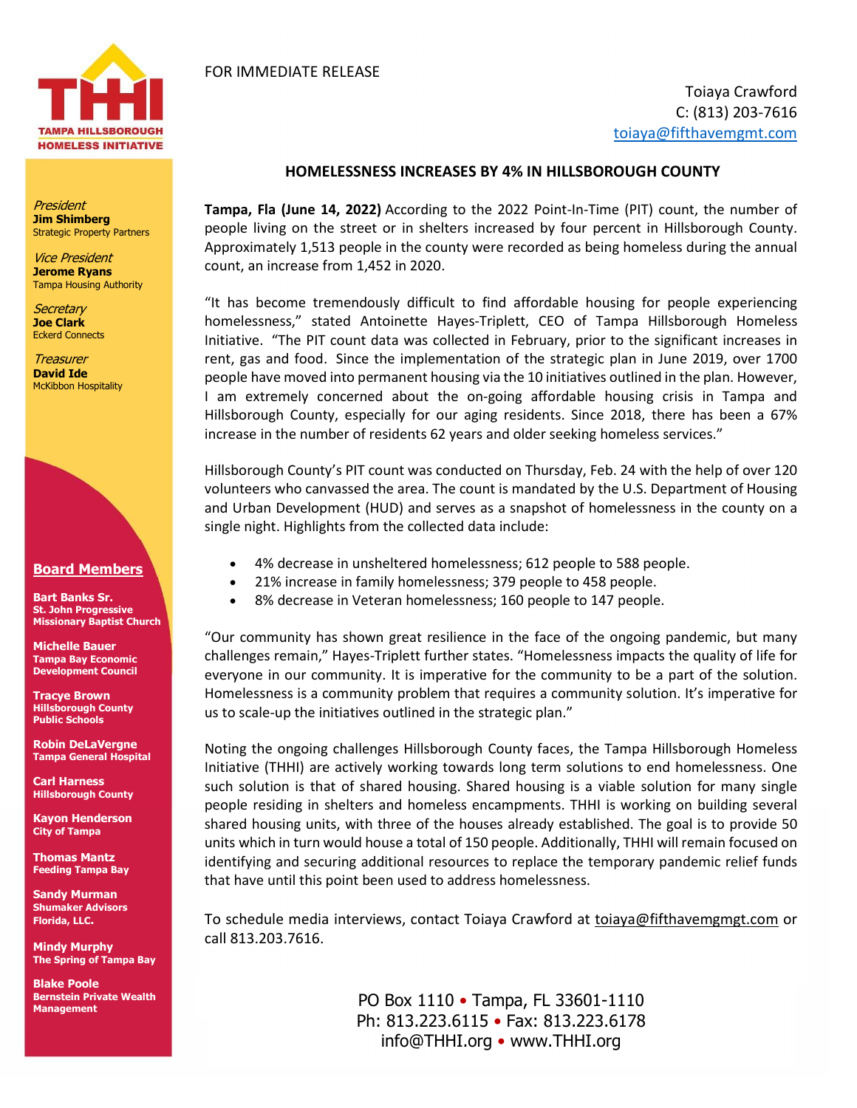

President Jim Shimberg Strategic Property Partners

Vice President Jerome Ryans Tampa Housing Authority

Secretary Joe Clark Eckerd Connects

**Treasurer** David Ide McKibbon Hospitality



Bart Banks Sr. St. John Progressive Missionary Baptist Church

Michelle Bauer Tampa Bay Economic Development Council

Tracye Brown Hillsborough County Public Schools

Robin DeLaVergne Tampa General Hospital

Carl Harness Hillsborough County

Kayon Henderson City of Tampa

Thomas Mantz Feeding Tampa Bay

Sandy Murman Shumaker Advisors Florida, LLC.

Mindy Murphy The Spring of Tampa Bay

Blake Poole Bernstein Private Wealth **Management** 

## FOR IMMEDIATE RELEASE

Toiaya Crawford C: (813) 203-7616 toiaya@fifthavemgmt.com

## HOMELESSNESS INCREASES BY 4% IN HILLSBOROUGH COUNTY

Tampa, Fla (June 14, 2022) According to the 2022 Point-In-Time (PIT) count, the number of people living on the street or in shelters increased by four percent in Hillsborough County. Approximately 1,513 people in the county were recorded as being homeless during the annual count, an increase from 1,452 in 2020.

"It has become tremendously difficult to find affordable housing for people experiencing homelessness," stated Antoinette Hayes-Triplett, CEO of Tampa Hillsborough Homeless Initiative. "The PIT count data was collected in February, prior to the significant increases in rent, gas and food. Since the implementation of the strategic plan in June 2019, over 1700 people have moved into permanent housing via the 10 initiatives outlined in the plan. However, I am extremely concerned about the on-going affordable housing crisis in Tampa and Hillsborough County, especially for our aging residents. Since 2018, there has been a 67% increase in the number of residents 62 years and older seeking homeless services."

Hillsborough County's PIT count was conducted on Thursday, Feb. 24 with the help of over 120 volunteers who canvassed the area. The count is mandated by the U.S. Department of Housing and Urban Development (HUD) and serves as a snapshot of homelessness in the county on a single night. Highlights from the collected data include:

- 4% decrease in unsheltered homelessness; 612 people to 588 people.
- 21% increase in family homelessness; 379 people to 458 people.
- 8% decrease in Veteran homelessness; 160 people to 147 people.

"Our community has shown great resilience in the face of the ongoing pandemic, but many challenges remain," Hayes-Triplett further states. "Homelessness impacts the quality of life for everyone in our community. It is imperative for the community to be a part of the solution. Homelessness is a community problem that requires a community solution. It's imperative for us to scale-up the initiatives outlined in the strategic plan."

Noting the ongoing challenges Hillsborough County faces, the Tampa Hillsborough Homeless Initiative (THHI) are actively working towards long term solutions to end homelessness. One such solution is that of shared housing. Shared housing is a viable solution for many single people residing in shelters and homeless encampments. THHI is working on building several shared housing units, with three of the houses already established. The goal is to provide 50 units which in turn would house a total of 150 people. Additionally, THHI will remain focused on identifying and securing additional resources to replace the temporary pandemic relief funds that have until this point been used to address homelessness.

To schedule media interviews, contact Toiaya Crawford at toiaya@fifthavemgmgt.com or call 813.203.7616.

> PO Box 1110 • Tampa, FL 33601-1110 Ph: 813.223.6115 • Fax: 813.223.6178 info@THHI.org • www.THHI.org